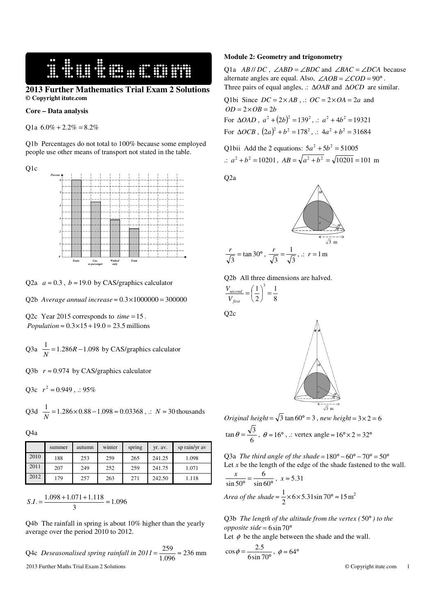**WELL WELL WELL WELL** 

## **2013 Further Mathematics Trial Exam 2 Solutions © Copyright itute.com**

#### **Core – Data analysis**

Q1a  $6.0\% + 2.2\% = 8.2\%$ 

Q1b Percentages do not total to 100% because some employed people use other means of transport not stated in the table.

Q1c



Q2a  $a \approx 0.3$ ,  $b \approx 19.0$  by CAS/graphics calculator

Q2b *Average annual increase*  $\approx 0.3 \times 1000000 = 300000$ 

O2c Year 2015 corresponds to  $time = 15$ . *Population*  $\approx 0.3 \times 15 + 19.0 = 23.5$  millions

Q3a  $\frac{1}{N}$  = 1.286*R* – 1.098 by CAS/graphics calculator

Q3b  $r \approx 0.974$  by CAS/graphics calculator

Q3c 
$$
r^2 \approx 0.949
$$
,  $\therefore 95\%$ 

Q3d 
$$
\frac{1}{N}
$$
 = 1.286×0.88-1.098 ≈ 0.03368, ::  $N$  ≈ 30 thousands

Q4a

|      | summer | autumn | winter | spring | yr. av. | sp rain/yr av |
|------|--------|--------|--------|--------|---------|---------------|
| 2010 | 188    | 253    | 259    | 265    | 241.25  | 1.098         |
| 2011 | 207    | 249    | 252    | 259    | 241.75  | 1.071         |
| 2012 | 179    | 257    | 263    | 271    | 242.50  | 1.118         |

$$
S.I. = \frac{1.098 + 1.071 + 1.118}{3} \approx 1.096
$$

Q4b The rainfall in spring is about 10% higher than the yearly average over the period 2010 to 2012.

2013 Further Maths Trial Exam 2 Solutions © Copyright itute.com 1 Q4c *Deseasonalised spring rainfall in*  $2011 = \frac{20}{1.096} \approx 236$  $=\frac{259}{1.006} \approx 236$  mm

### **Module 2: Geometry and trigonometry**

Q1a  $AB \parallel DC$ ,  $\angle ABD = \angle BDC$  and  $\angle BAC = \angle DCA$  because alternate angles are equal. Also,  $\angle AOB = \angle COD = 90^\circ$ . Three pairs of equal angles, .: ∆*OAB* and ∆*OCD* are similar.

Q1bi Since  $DC = 2 \times AB$ ,  $\therefore OC = 2 \times OA = 2a$  and  $OD = 2 \times OB = 2b$ For  $\triangle OAD$ ,  $a^2 + (2b)^2 = 139^2$ , .:  $a^2 + 4b^2 = 19321$ For  $\triangle OCB$ ,  $(2a)^2 + b^2 = 178^2$ , .:  $4a^2 + b^2 = 31684$ 

Q1bii Add the 2 equations: 
$$
5a^2 + 5b^2 = 51005
$$
  
\n $\therefore a^2 + b^2 = 10201$ ,  $AB = \sqrt{a^2 + b^2} = \sqrt{10201} = 101$  m

Q2a



Q2b All three dimensions are halved.

$$
\frac{V_{second}}{V_{first}} = \left(\frac{1}{2}\right)^3 = \frac{1}{8}
$$

6

Q2c

3



*Original height* =  $\sqrt{3}$  tan 60° = 3, *new height* =  $3 \times 2 = 6$  $\tan \theta = \frac{\sqrt{3}}{6}$ ,  $\theta \approx 16^{\circ}$ , .: vertex angle  $\approx 16^{\circ} \times 2 = 32^{\circ}$ 

Q3a *The third angle of the shade* =  $180^{\circ} - 60^{\circ} - 70^{\circ} = 50^{\circ}$ Let  $x$  be the length of the edge of the shade fastened to the wall.

$$
\frac{x}{\sin 50^{\circ}} = \frac{6}{\sin 60^{\circ}}, x \approx 5.31
$$
  
Area of the shade  $\approx \frac{1}{2} \times 6 \times 5.31 \sin 70^{\circ} \approx 15 \text{ m}$ 

Q3b *The length of the altitude from the vertex (* 50° *) to the opposite side* = 6sin 70°

Let  $\phi$  be the angle between the shade and the wall.

$$
\cos \phi = \frac{2.5}{6 \sin 70^{\circ}}, \ \phi \approx 64^{\circ}
$$

2